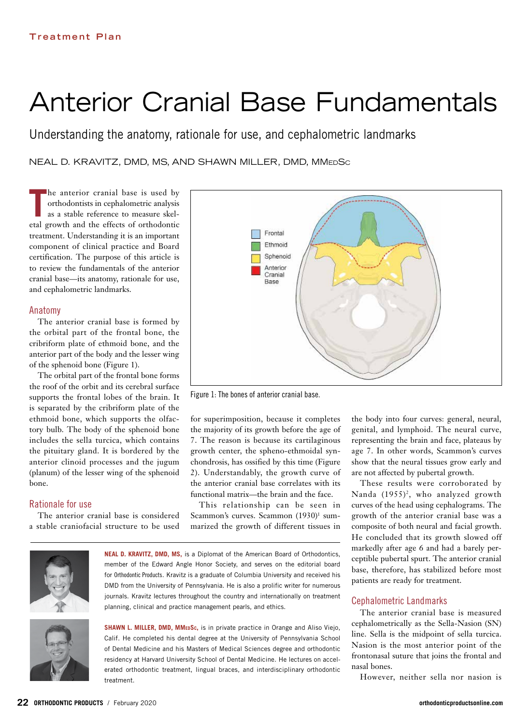# Anterior Cranial Base Fundamentals

Understanding the anatomy, rationale for use, and cephalometric landmarks

NEAL D. KRAVITZ, DMD, MS, AND SHAWN MILLER, DMD, MMedS<sup>c</sup>

**The anterior cranial base is used by orthodontists in cephalometric analysis as a stable reference to measure skeletal growth and the effects of orthodontic** he anterior cranial base is used by orthodontists in cephalometric analysis as a stable reference to measure skeltreatment. Understanding it is an important component of clinical practice and Board certification. The purpose of this article is to review the fundamentals of the anterior cranial base—its anatomy, rationale for use, and cephalometric landmarks.

### Anatomy

The anterior cranial base is formed by the orbital part of the frontal bone, the cribriform plate of ethmoid bone, and the anterior part of the body and the lesser wing of the sphenoid bone (Figure 1).

The orbital part of the frontal bone forms the roof of the orbit and its cerebral surface supports the frontal lobes of the brain. It is separated by the cribriform plate of the ethmoid bone, which supports the olfactory bulb. The body of the sphenoid bone includes the sella turcica, which contains the pituitary gland. It is bordered by the anterior clinoid processes and the jugum (planum) of the lesser wing of the sphenoid bone.

### Rationale for use

The anterior cranial base is considered a stable craniofacial structure to be used



Figure 1: The bones of anterior cranial base.

for superimposition, because it completes the majority of its growth before the age of 7. The reason is because its cartilaginous growth center, the spheno-ethmoidal synchondrosis, has ossified by this time (Figure 2). Understandably, the growth curve of the anterior cranial base correlates with its functional matrix—the brain and the face.

This relationship can be seen in Scammon's curves. Scammon (1930)<sup>1</sup> summarized the growth of different tissues in



**NEAL D. KRAVITZ, DMD, MS,** is a Diplomat of the American Board of Orthodontics, member of the Edward Angle Honor Society, and serves on the editorial board for Orthodontic Products. Kravitz is a graduate of Columbia University and received his DMD from the University of Pennsylvania. He is also a prolific writer for numerous journals. Kravitz lectures throughout the country and internationally on treatment planning, clinical and practice management pearls, and ethics.



**SHAWN L. MILLER, DMD, MMedSc,** is in private practice in Orange and Aliso Viejo, Calif. He completed his dental degree at the University of Pennsylvania School of Dental Medicine and his Masters of Medical Sciences degree and orthodontic residency at Harvard University School of Dental Medicine. He lectures on accelerated orthodontic treatment, lingual braces, and interdisciplinary orthodontic treatment.

the body into four curves: general, neural, genital, and lymphoid. The neural curve, representing the brain and face, plateaus by age 7. In other words, Scammon's curves show that the neural tissues grow early and are not affected by pubertal growth.

These results were corroborated by Nanda  $(1955)^2$ , who analyzed growth curves of the head using cephalograms. The growth of the anterior cranial base was a composite of both neural and facial growth. He concluded that its growth slowed off markedly after age 6 and had a barely perceptible pubertal spurt. The anterior cranial base, therefore, has stabilized before most patients are ready for treatment.

### Cephalometric Landmarks

The anterior cranial base is measured cephalometrically as the Sella-Nasion (SN) line. Sella is the midpoint of sella turcica. Nasion is the most anterior point of the frontonasal suture that joins the frontal and nasal bones.

However, neither sella nor nasion is